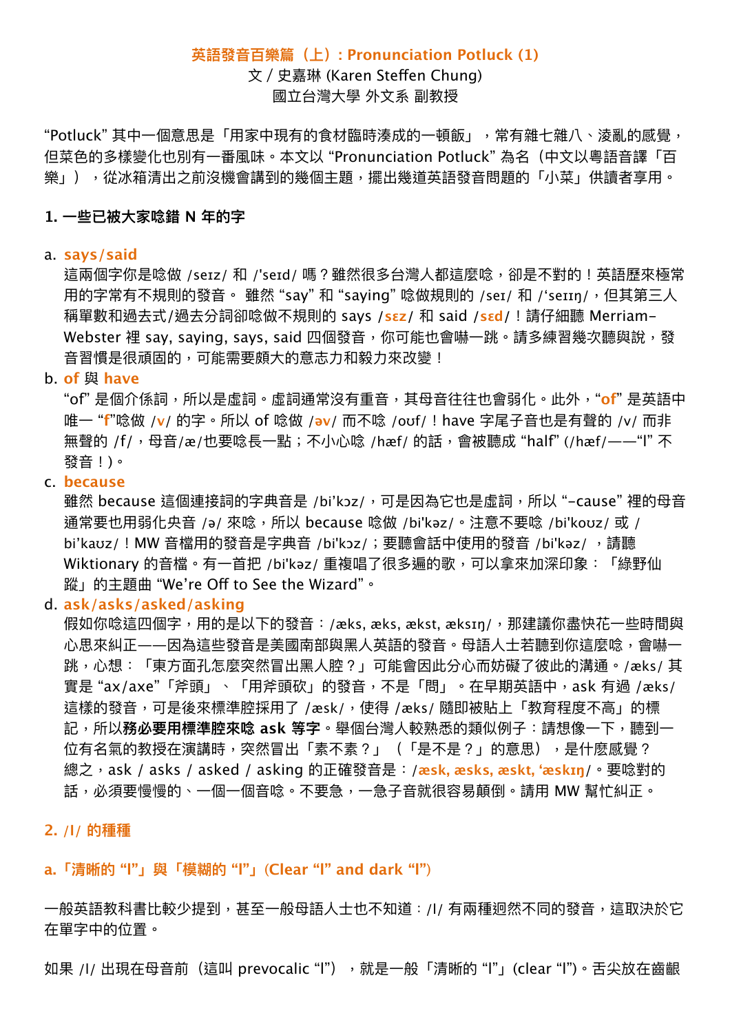## **英語發⾳百樂篇(上): Pronunciation Potluck (1)**

文 / 史嘉琳 (Karen Steffen Chung) 國立台灣⼤學 外⽂系 副教授

"Potluck"其中一個意思是「用家中現有的食材臨時湊成的一頓飯」,常有雜七雜八、淩亂的感覺, 但菜色的多樣變化也別有一番風味。本文以 "Pronunciation Potluck" 為名(中文以粵語音譯「百 樂」),從冰箱清出之前沒機會講到的幾個主題,擺出幾道英語發音問題的「小菜」供讀者享用。

#### **1. ⼀些已被⼤家唸錯 N 年的字**

#### a. **says/said**

這兩個字你是唸做 /seɪz/ 和 /'seɪd/ 嗎?雖然很多台灣人都這麼唸,卻是不對的!英語歷來極常 用的字常有不規則的發音。 雖然 "say" 和 "saying" 唸做規則的 /seɪ/ 和 /'seɪɪŋ/,但其第三人 稱單數和過去式/過去分詞卻唸做不規則的 says **/sɛz/** 和 said **/sɛd/**!請仔細聽 Merriam-Webster 裡 say, saying, says, said 四個發音,你可能也會嚇一跳。請多練習幾次聽與說,發 音習慣是很頑固的,可能需要頗大的意志力和毅力來改變!

b. **of** 與 **have**

"of"是個介係詞,所以是虛詞。虛詞通常沒有重音,其母音往往也會弱化。此外,"**of**" 是英語中 唯⼀ "**f**"唸做 /**v**/ 的字。所以 of 唸做 /**əv**/ ⽽不唸 /oʊf/!have 字尾⼦⾳也是有聲的 /v/ ⽽非 無聲的 /f/, 母音/æ/也要唸長一點; 不小心唸 /hæf/ 的話, 會被聽成 "half" (/hæf/——"l" 不 發音!)。

#### c. **because**

雖然 because 這個連接詞的字典音是 /bi'kɔz/, 可是因為它也是虛詞, 所以 "-cause"裡的母音 通常要也用弱化央音 /ə/ 來唸, 所以 because 唸做 /bi'kəz/。注意不要唸 /bi'koʊz/ 或 / bi'kaʊz/! MW 音檔用的發音是字典音 /bi'kɔz/; 要聽會話中使用的發音 /bi'kəz/, 請聽 Wiktionary 的音檔。有一首把 /bi'kəz/ 重複唱了很多遍的歌,可以拿來加深印象: 「綠野仙 蹤」的主題曲 "We're Of to See the Wizard"。

#### d. **ask/asks/asked/asking**

假如你唸這四個字,用的是以下的發音:/æks, æks, ækst, æksɪn/,那建議你盡快花一些時間與 心思來糾正——因為這些發音是美國南部與黑人英語的發音。母語人士若聽到你這麼唸,會嚇一 跳,心想:「東方面孔怎麼突然冒出黑人腔?」可能會因此分心而妨礙了彼此的溝通。/æks/ 其 實是 "ax/axe"「斧頭」、「用斧頭砍」的發音,不是「問」。在早期英語中,ask 有過 /æks/ 這樣的發音,可是後來標準腔採用了 /æsk/,使得 /æks/ 隨即被貼上「教育程度不高」的標 記,所以**務必要用標準腔來唸 ask 等字**。舉個台灣人較熟悉的類似例子:請想像一下,聽到一 位有名氣的教授在演講時,突然冒出「素不素?」(「是不是?」的意思),是什麽感覺? 總之,ask / asks / asked / asking 的正確發⾳是:/**æsk, æsks, æskt, 'æskɪŋ**/。要唸對的 話,必須要慢慢的、一個一個音唸。不要急,一急子音就很容易顛倒。請用 MW 幫忙糾正。

#### **2. /l/ 的種種**

### **a.「清晰的 "l"」與「模糊的 "l"」**(**Clear "l" and dark "l"**)

一般英語教科書比較少提到,甚至一般母語人士也不知道:/l/ 有兩種迥然不同的發音,這取決於它 在單字中的位置。

如果 /l/ 出現在母音前(這叫 prevocalic "l"),就是一般「清晰的 "l"」(clear "l")。舌尖放在齒齦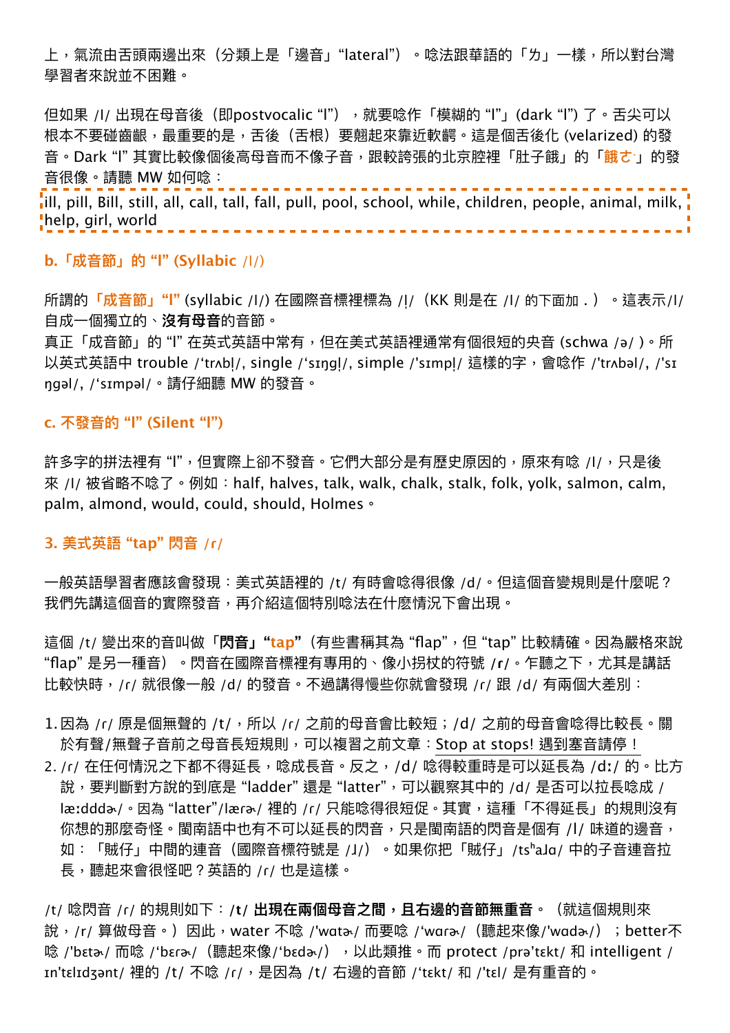上,氣流由舌頭兩邊出來(分類上是「邊音」"lateral")。唸法跟華語的「ㄌ」一樣,所以對台灣 學習者來說並不困難。

但如果 /l/ 出現在母音後(即postvocalic "l"),就要唸作「模糊的 "l"」(dark "l") 了。舌尖可以 根本不要碰齒齦,最重要的是,舌後(舌根)要翹起來靠近軟齶。這是個舌後化 (velarized) 的發 ⾳。Dark "l" 其實比較像個後⾼⺟⾳⽽不像⼦⾳,跟較誇張的北京腔裡「肚⼦餓」的「**餓ㄜˋ**」的發 音很像。請聽 MW 如何唸:

ill, pill, Bill, still, all, call, tall, fall, pull, pool, school, while, children, people, animal, milk, <mark>i</mark> help, girl, world 

## **b.「成⾳節」的 "l" (Syllabic** /l/)

所謂的**「成音節」"l"** (syllabic /l/) 在國際音標裡標為 /l/ (KK 則是在 /l/ 的下面加 . )。這表示/l/ 自成一個獨立的、**沒有母音**的音節。

真正「成音節」的 "l" 在英式英語中常有,但在美式英語裡通常有個很短的央音 (schwa /ə/ )。所 以英式英語中 trouble /'trʌbl/, single /'sɪŋɡl/, simple /'sɪmpl/ 這樣的字,會唸作 /'trʌbəl/, /'sɪ ngəl/, /'sɪmpəl/。請仔細聽 MW 的發音。

## **c. 不發⾳的 "l" (Silent "l")**

許多字的拼法裡有 "l",但實際上卻不發音。它們大部分是有歷史原因的,原來有唸 /l/,只是後 来 /l/ 被省略不唸了。例如: half, halves, talk, walk, chalk, stalk, folk, yolk, salmon, calm, palm, almond, would, could, should, Holmes。

### **3. 美式英語 "tap" 閃⾳ /ɾ/**

一般英語學習者應該會發現:美式英語裡的 /t/ 有時會唸得很像 /d/。但這個音變規則是什麼呢? 我們先講這個音的實際發音,再介紹這個特別唸法在什麽情況下會出現。

這個 /t/ 變出來的⾳叫做「**閃⾳」"tap"**(有些書稱其為 "flap",但 "tap" 比較精確。因為嚴格來說 "flap" 是另⼀種⾳)。閃⾳在國際⾳標裡有專⽤的、像⼩拐杖的符號 **/ɾ/**。乍聽之下,尤其是講話 比較快時,/ɾ/ 就很像一般 /d/ 的發音。不過講得慢些你就會發現 /ɾ/ 跟 /d/ 有兩個大差別:

- 1. 因為 /r/ 原是個無聲的 /t/, 所以 /r/ 之前的母音會比較短;/d/ 之前的母音會唸得比較長。關 於有聲/無聲子音前之母音長短規則,可以複習之前文章:Stop at stops! 遇到塞音請停!
- 2. /ɾ/ 在任何情況之下都不得延長,唸成長音。反之,/d/ 唸得較重時是可以延長為 /dː/ 的。比方 說, 要判斷對方說的到底是 "ladder" 還是 "latter", 可以觀察其中的 /d/ 是否可以拉長唸成 / læːdddɚ/。因為 "latter"/læɾɚ/ 裡的 /ɾ/ 只能唸得很短促。其實,這種「不得延長」的規則沒有 你想的那麼奇怪。閩南語中也有不可以延長的閃音,只是閩南語的閃音是個有 /l/ 味道的邊音, 如:「賊仔」中間的連音(國際音標符號是 /J/)。如果你把「賊仔」/tsʰaJɑ/ 中的子音連音拉 長,聽起來會很怪吧?英語的 /ɾ/ 也是這樣。

/t/ 唸閃⾳ /ɾ/ 的規則如下:**/t/ 出現在兩個⺟⾳之間,且右邊的⾳節無重⾳**。(就這個規則來 說,/r/ 算做母音。)因此,water 不唸 /'wɑtə/ 而要唸 /'wɑɾə/(聽起來像/'wɑdə/);better不 唸 /'bεta<sub>r</sub>/ 而唸 /'bεra<sub>r</sub>/ (聽起來像/'bεda<sub>r</sub>/),以此類推。而 protect /pra'tεkt/ 和 intelligent / In'tεlɪdʒənt/ 裡的 /t/ 不唸 /r/, 是因為 /t/ 右邊的音節 /'tεkt/ 和 /'tεl/ 是有重音的。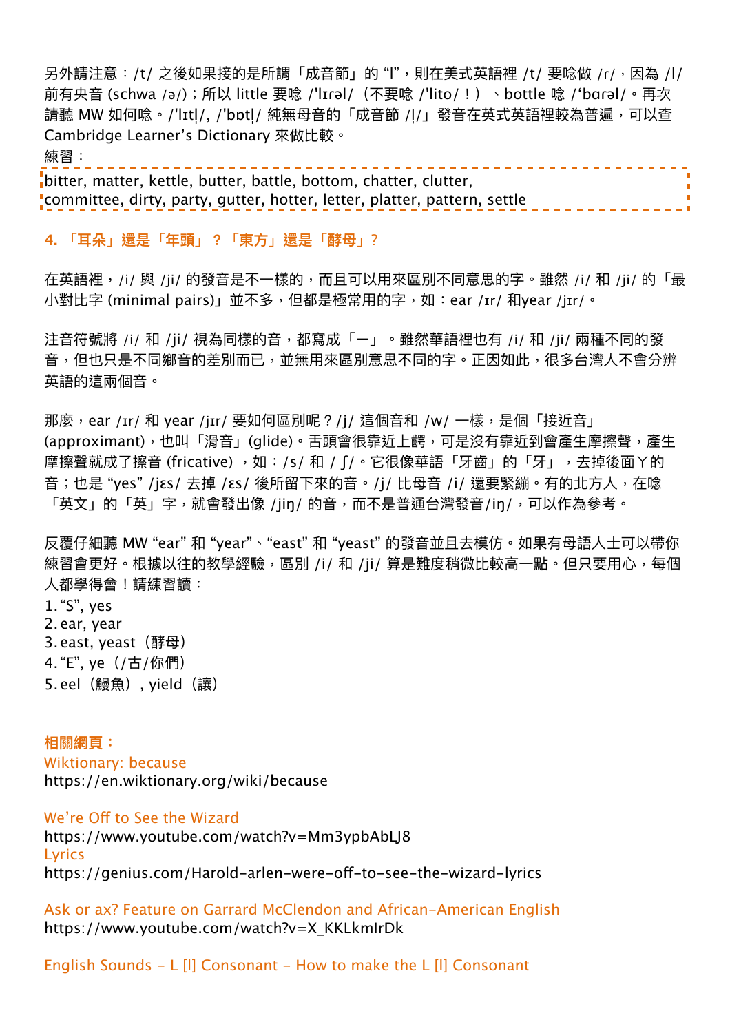另外請注意:/t/ 之後如果接的是所謂「成音節」的 "l",則在美式英語裡 /t/ 要唸做 /r/,因為 /l/ 前有央音 (schwa /ə/); 所以 little 要唸 /'lɪɾəl/(不要唸 /'lito/ !)、bottle 唸 /'bɑɾəl/。再次 請聽 MW 如何唸。/'lɪtl/, /'bɒtl/ 純無母音的「成音節 /l/」發音在英式英語裡較為普遍,可以查 Cambridge Learner's Dictionary 來做比較。 練習:

bitter, matter, kettle, butter, battle, bottom, chatter, clutter, committee, dirty, party, gutter, hotter, letter, platter, pattern, settle

### **4.** 「**耳朵**」**還是**「**年頭**」**?**「**東⽅**」**還是**「**酵⺟**」?

在英語裡, /i/ 與 /ji/ 的發音是不一樣的, 而且可以用來區別不同意思的字。雖然 /i/ 和 /ji/ 的「最 小對比字 (minimal pairs)」並不多,但都是極常用的字,如:ear /ɪr/ 和year /jɪr/。

注音符號將 /i/ 和 /ji/ 視為同樣的音,都寫成「ㄧ」。雖然華語裡也有 /i/ 和 /ji/ 兩種不同的發 音,但也只是不同鄉音的差別而已,並無用來區別意思不同的字。正因如此,很多台灣人不會分辨 英語的這兩個音。

那麼,ear /ɪr/ 和 year /jɪr/ 要如何區別呢?/j/ 這個音和 /w/ 一樣,是個「接近音」 (approximant),也叫「滑音」(glide)。舌頭會很靠近上齶,可是沒有靠近到會產生摩擦聲,產生 摩擦聲就成了擦音 (fricative) ,如:/s/ 和 / ʃ/。它很像華語「牙齒」的「牙」,去掉後面Y的 音; 也是"yes"/jεs/ 去掉/εs/ 後所留下來的音。/j/ 比母音 /i/ 還要緊繃。有的北方人, 在唸 「英文」的「英」字,就會發出像 /iin/ 的音,而不是普通台灣發音/in/,可以作為參考。

反覆仔細聽 MW "ear"和 "year"、"east"和 "yeast" 的發音並且去模仿。如果有母語人士可以帶你 練習會更好。根據以往的教學經驗,區別 /i/ 和 /ji/ 算是難度稍微比較高一點。但只要用心,每個 ⼈都學得會!請練習讀:

1."S", yes 2.ear, year 3. east, yeast (酵母)

- 4."E", ye(/古/你們)
- 5.eel (鰻魚), yield (讓)

**相關網頁:** Wiktionary: because https://en.wiktionary.org/wiki/because

We're Off to See the Wizard

https://www.youtube.com/watch?v=Mm3ypbAbLJ8 **Lyrics** https://genius.com/Harold-arlen-were-off-to-see-the-wizard-lyrics

Ask or ax? Feature on Garrard McClendon and African-American English https://www.youtube.com/watch?v=X\_KKLkmIrDk

English Sounds - L [l] Consonant - How to make the L [l] Consonant